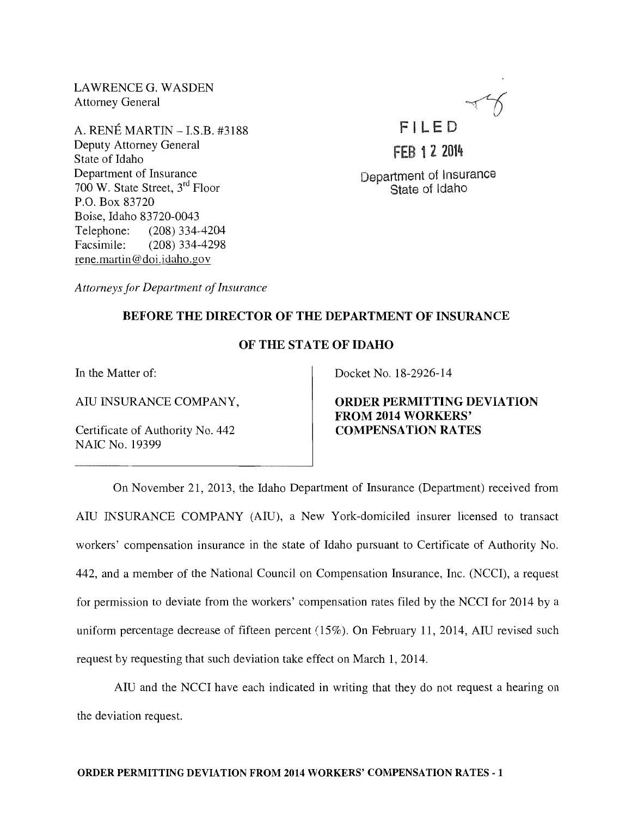LAWRENCE G. WASDEN Attorney General

A. RENE MARTIN - LS.B. #3188 Deputy Attorney General State of Idaho Department of Insurance 700 W. State Street, 3rd Floor P.O. Box 83720 Boise, Idaho 83720-0043 Telephone: (208) 334-4204 Facsimile: (208) 334-4298 rene. martin @doi.idaho.gov

FILED

FEB 1 2 2014

Department of Insurance State of Idaho

*Attorneys for Department of Insurance* 

## BEFORE THE DIRECTOR OF THE DEPARTMENT OF INSURANCE

## OF THE STATE OF IDAHO

In the Matter of:

AIU INSURANCE COMPANY,

Certificate of Authority No. 442 NAIC No. 19399

Docket No. 18-2926-14

ORDER PERMITTING DEVIATION FROM 2014 WORKERS' COMPENSATION RATES

On November 21, 2013, the Idaho Department of Insurance (Department) received from AIU INSURANCE COMPANY (AIU), a New York-domiciled insurer licensed to transact workers' compensation insurance in the state of Idaho pursuant to Certificate of Authority No. 442, and a member of the National Council on Compensation Insurance, Inc. (NCCI), a request for permission to deviate from the workers' compensation rates filed by the NCCI for 2014 by a uniform percentage decrease of fifteen percent (15%). On February 11, 2014, AIU revised such request by requesting that such deviation take effect on March 1,2014.

AIU and the NCCI have each indicated in writing that they do not request a hearing on the deviation request.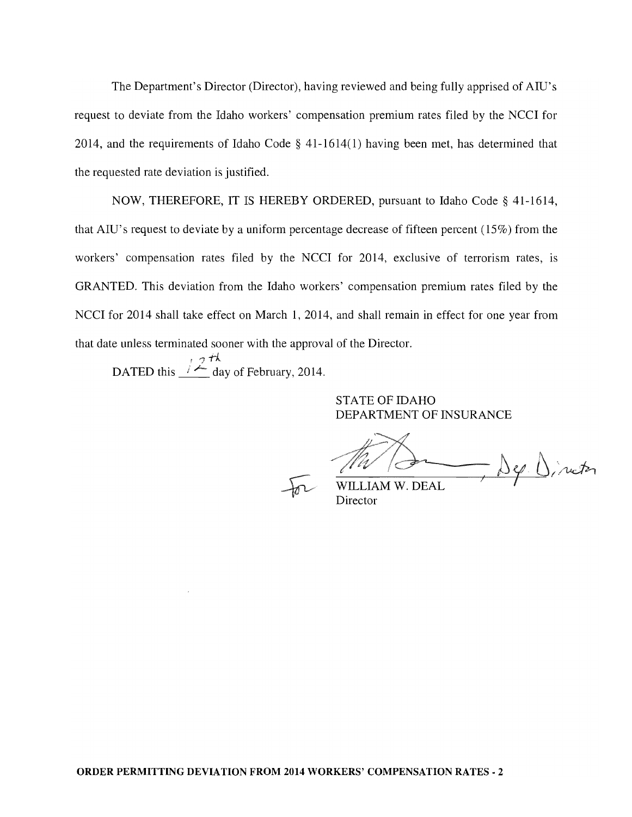The Department's Director (Director), having reviewed and being fully apprised of AID's request to deviate from the Idaho workers' compensation premium rates filed by the NCCI for 2014, and the requirements of Idaho Code § 41-1614(1) having been met, has determined that the requested rate deviation is justified.

NOW, THEREFORE, IT IS HEREBY ORDERED, pursuant to Idaho Code § 41-1614, that AID's request to deviate by a uniform percentage decrease of fifteen percent (15%) from the workers' compensation rates filed by the NCCI for 2014, exclusive of terrorism rates, is GRANTED. This deviation from the Idaho workers' compensation premium rates filed by the NCCI for 2014 shall take effect on March 1, 2014, and shall remain in effect for one year from that date unless terminated sooner with the approval of the Director.

DATED this  $\frac{12 \frac{H}{A}}{4}$  day of February, 2014.

STATE OF IDAHO DEPARTMENT OF INSURANCE

- Dep. Dinater

WILLIAM W. DEAL Director